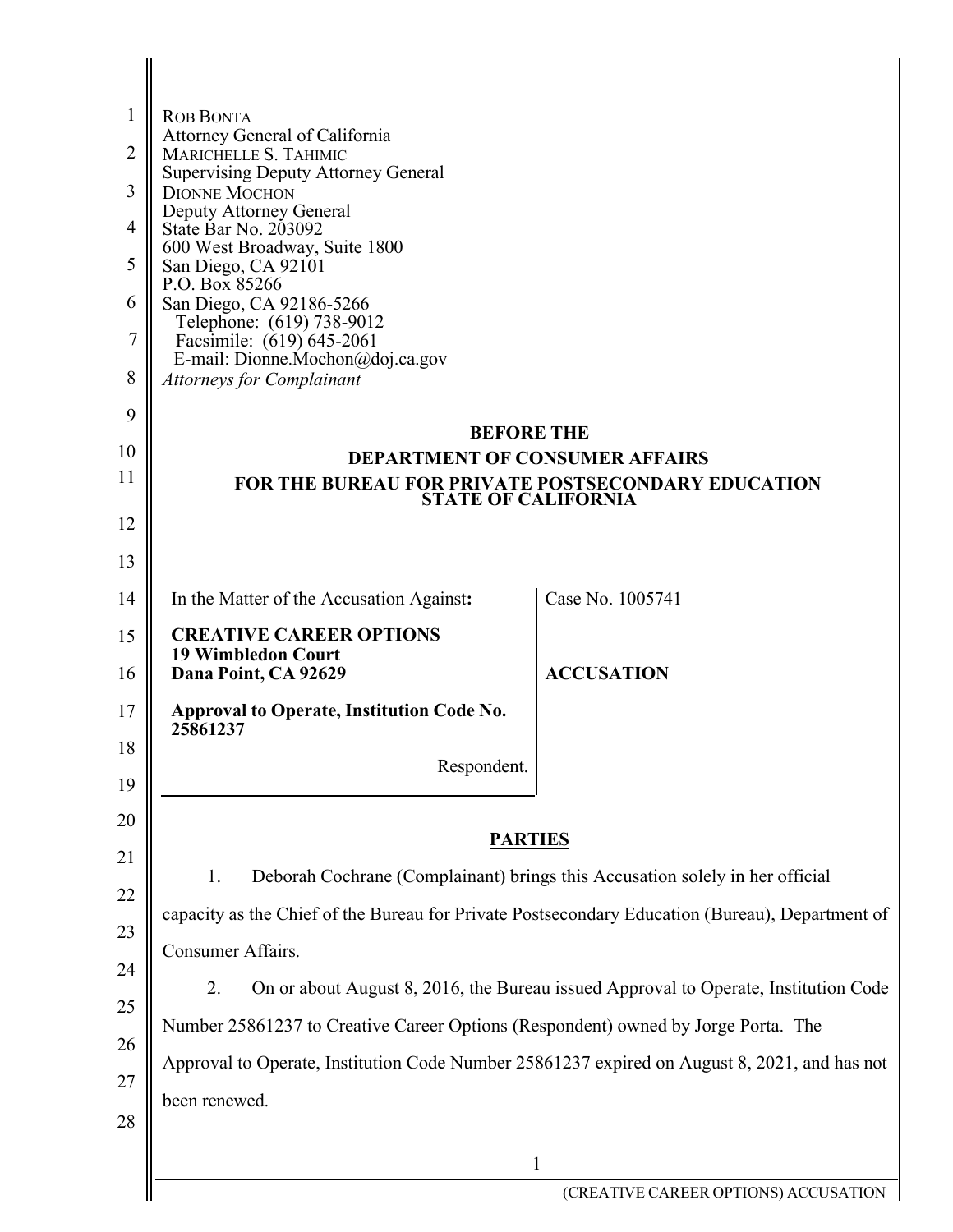| $\mathbf{1}$   | <b>ROB BONTA</b>                                                                                |                                                                                     |
|----------------|-------------------------------------------------------------------------------------------------|-------------------------------------------------------------------------------------|
| $\overline{2}$ | Attorney General of California<br>MARICHELLE S. TAHIMIC                                         |                                                                                     |
| 3              | <b>Supervising Deputy Attorney General</b><br><b>DIONNE MOCHON</b>                              |                                                                                     |
| 4              | Deputy Attorney General<br>State Bar No. 203092                                                 |                                                                                     |
| 5              | 600 West Broadway, Suite 1800<br>San Diego, CA 92101                                            |                                                                                     |
| 6              | P.O. Box 85266<br>San Diego, CA 92186-5266                                                      |                                                                                     |
| $\overline{7}$ | Telephone: (619) 738-9012<br>Facsimile: (619) 645-2061                                          |                                                                                     |
| 8              | E-mail: Dionne.Mochon@doj.ca.gov<br><b>Attorneys for Complainant</b>                            |                                                                                     |
| 9              |                                                                                                 |                                                                                     |
| 10             | <b>BEFORE THE</b><br><b>DEPARTMENT OF CONSUMER AFFAIRS</b>                                      |                                                                                     |
| 11             | <b>FOR THE BUREAU FOR PRIVATE POSTSECONDARY EDUCATION</b>                                       |                                                                                     |
| 12             | <b>STATE OF CALIFORNIA</b>                                                                      |                                                                                     |
| 13             |                                                                                                 |                                                                                     |
| 14             | In the Matter of the Accusation Against:                                                        | Case No. 1005741                                                                    |
| 15             | <b>CREATIVE CAREER OPTIONS</b>                                                                  |                                                                                     |
| 16             | <b>19 Wimbledon Court</b><br>Dana Point, CA 92629                                               | <b>ACCUSATION</b>                                                                   |
| 17             | Approval to Operate, Institution Code No.<br>25861237                                           |                                                                                     |
| 18             | Respondent.                                                                                     |                                                                                     |
| 19             |                                                                                                 |                                                                                     |
| 20             | <b>PARTIES</b>                                                                                  |                                                                                     |
| 21             | 1.                                                                                              | Deborah Cochrane (Complainant) brings this Accusation solely in her official        |
| 22             | capacity as the Chief of the Bureau for Private Postsecondary Education (Bureau), Department of |                                                                                     |
| 23             | Consumer Affairs.                                                                               |                                                                                     |
| 24             | 2.                                                                                              | On or about August 8, 2016, the Bureau issued Approval to Operate, Institution Code |
| 25             | Number 25861237 to Creative Career Options (Respondent) owned by Jorge Porta. The               |                                                                                     |
| 26             | Approval to Operate, Institution Code Number 25861237 expired on August 8, 2021, and has not    |                                                                                     |
| 27             | been renewed.                                                                                   |                                                                                     |
| 28             |                                                                                                 |                                                                                     |
|                |                                                                                                 | $\mathbf{1}$<br>(CREATIVE CAREER OPTIONS) ACCUSATION                                |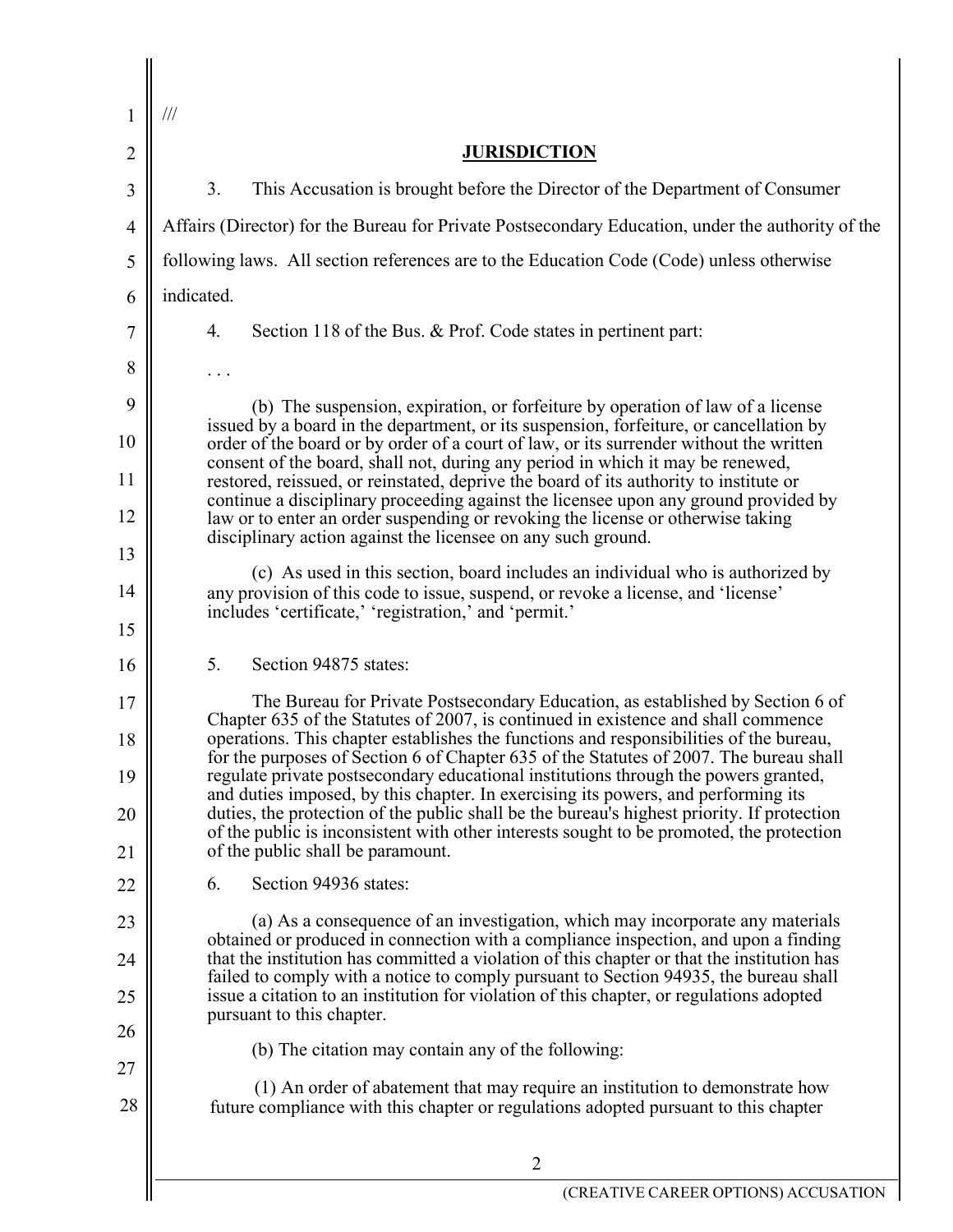| 1              | $\frac{1}{1}$                                                                                                                                                                                                                                                         |
|----------------|-----------------------------------------------------------------------------------------------------------------------------------------------------------------------------------------------------------------------------------------------------------------------|
| $\overline{2}$ | <b>JURISDICTION</b>                                                                                                                                                                                                                                                   |
| 3              | 3.<br>This Accusation is brought before the Director of the Department of Consumer                                                                                                                                                                                    |
| $\overline{4}$ | Affairs (Director) for the Bureau for Private Postsecondary Education, under the authority of the                                                                                                                                                                     |
| 5              | following laws. All section references are to the Education Code (Code) unless otherwise                                                                                                                                                                              |
| 6              | indicated.                                                                                                                                                                                                                                                            |
| 7              | 4.<br>Section 118 of the Bus. & Prof. Code states in pertinent part:                                                                                                                                                                                                  |
| 8              |                                                                                                                                                                                                                                                                       |
| 9              | (b) The suspension, expiration, or forfeiture by operation of law of a license<br>issued by a board in the department, or its suspension, forfeiture, or cancellation by                                                                                              |
| 10             | order of the board or by order of a court of law, or its surrender without the written<br>consent of the board, shall not, during any period in which it may be renewed,                                                                                              |
| 11             | restored, reissued, or reinstated, deprive the board of its authority to institute or<br>continue a disciplinary proceeding against the licensee upon any ground provided by                                                                                          |
| 12<br>13       | law or to enter an order suspending or revoking the license or otherwise taking<br>disciplinary action against the licensee on any such ground.                                                                                                                       |
| 14             | (c) As used in this section, board includes an individual who is authorized by<br>any provision of this code to issue, suspend, or revoke a license, and 'license'                                                                                                    |
| 15             | includes 'certificate,' 'registration,' and 'permit.'                                                                                                                                                                                                                 |
| 16             | 5.<br>Section 94875 states:                                                                                                                                                                                                                                           |
| 17             | The Bureau for Private Postsecondary Education, as established by Section 6 of                                                                                                                                                                                        |
| 18             | Chapter 635 of the Statutes of 2007, is continued in existence and shall commence<br>operations. This chapter establishes the functions and responsibilities of the bureau,<br>for the purposes of Section 6 of Chapter 635 of the Statutes of 2007. The bureau shall |
| 19             | regulate private postsecondary educational institutions through the powers granted,<br>and duties imposed, by this chapter. In exercising its powers, and performing its                                                                                              |
| 20             | duties, the protection of the public shall be the bureau's highest priority. If protection<br>of the public is inconsistent with other interests sought to be promoted, the protection                                                                                |
| 21             | of the public shall be paramount.                                                                                                                                                                                                                                     |
| 22             | Section 94936 states:<br>6.                                                                                                                                                                                                                                           |
| 23             | (a) As a consequence of an investigation, which may incorporate any materials<br>obtained or produced in connection with a compliance inspection, and upon a finding                                                                                                  |
| 24             | that the institution has committed a violation of this chapter or that the institution has<br>failed to comply with a notice to comply pursuant to Section 94935, the bureau shall                                                                                    |
| 25<br>26       | issue a citation to an institution for violation of this chapter, or regulations adopted<br>pursuant to this chapter.                                                                                                                                                 |
| 27             | (b) The citation may contain any of the following:                                                                                                                                                                                                                    |
| 28             | (1) An order of abatement that may require an institution to demonstrate how<br>future compliance with this chapter or regulations adopted pursuant to this chapter                                                                                                   |
|                |                                                                                                                                                                                                                                                                       |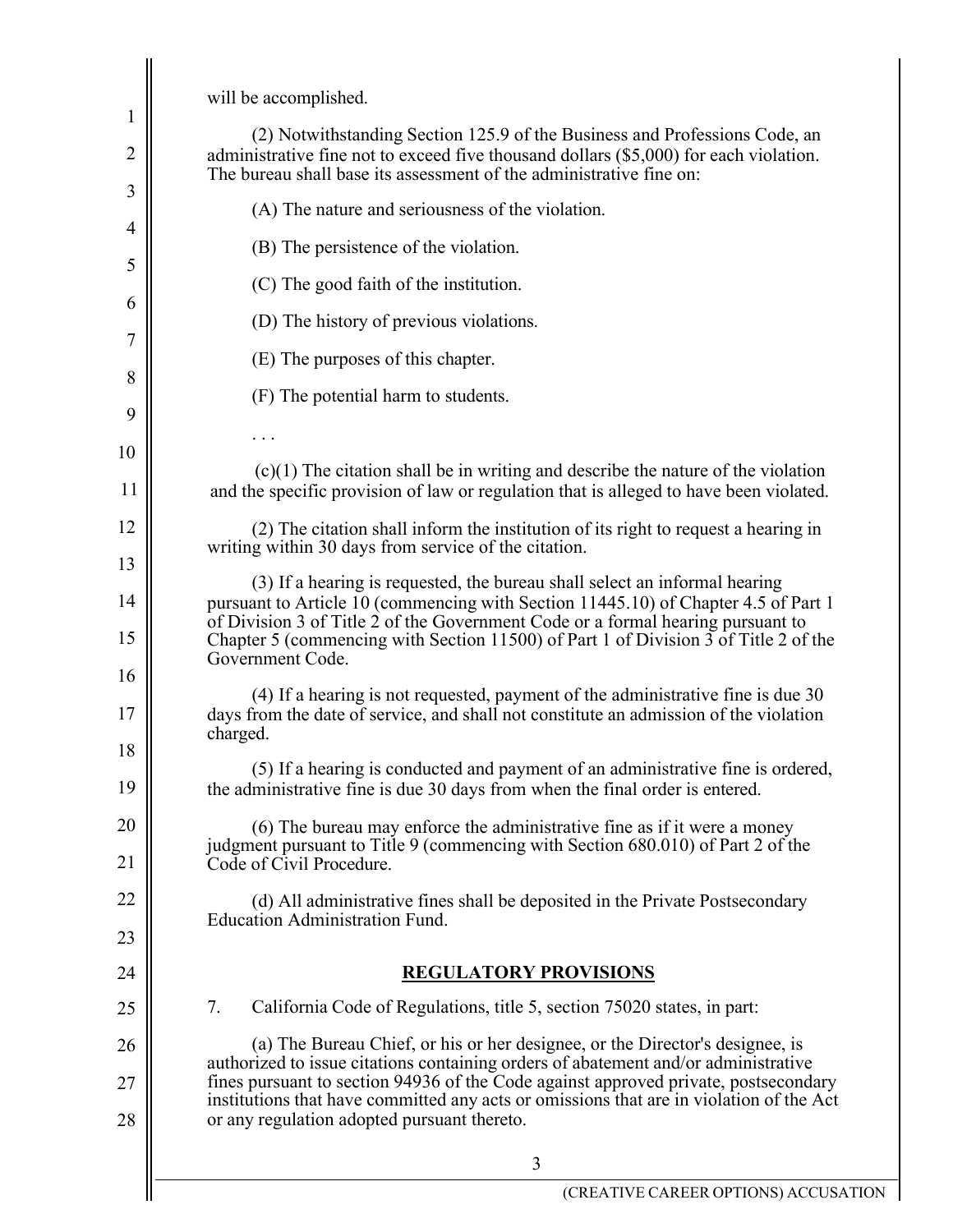will be accomplished.

| 1              |                                                                                                                                                                                                                                                                                                                     |
|----------------|---------------------------------------------------------------------------------------------------------------------------------------------------------------------------------------------------------------------------------------------------------------------------------------------------------------------|
| $\overline{2}$ | (2) Notwithstanding Section 125.9 of the Business and Professions Code, an<br>administrative fine not to exceed five thousand dollars (\$5,000) for each violation.<br>The bureau shall base its assessment of the administrative fine on:                                                                          |
| 3              | (A) The nature and seriousness of the violation.                                                                                                                                                                                                                                                                    |
| $\overline{4}$ | (B) The persistence of the violation.                                                                                                                                                                                                                                                                               |
| 5              | (C) The good faith of the institution.                                                                                                                                                                                                                                                                              |
| 6              | (D) The history of previous violations.                                                                                                                                                                                                                                                                             |
| 7              | (E) The purposes of this chapter.                                                                                                                                                                                                                                                                                   |
| 8              | (F) The potential harm to students.                                                                                                                                                                                                                                                                                 |
| 9              |                                                                                                                                                                                                                                                                                                                     |
| 10             | $(c)(1)$ The citation shall be in writing and describe the nature of the violation                                                                                                                                                                                                                                  |
| 11             | and the specific provision of law or regulation that is alleged to have been violated.                                                                                                                                                                                                                              |
| 12             | (2) The citation shall inform the institution of its right to request a hearing in<br>writing within 30 days from service of the citation.                                                                                                                                                                          |
| 13             | (3) If a hearing is requested, the bureau shall select an informal hearing                                                                                                                                                                                                                                          |
| 14             | pursuant to Article 10 (commencing with Section 11445.10) of Chapter 4.5 of Part 1<br>of Division 3 of Title 2 of the Government Code or a formal hearing pursuant to                                                                                                                                               |
| 15             | Chapter 5 (commencing with Section 11500) of Part 1 of Division 3 of Title 2 of the<br>Government Code.                                                                                                                                                                                                             |
| 16             | (4) If a hearing is not requested, payment of the administrative fine is due 30                                                                                                                                                                                                                                     |
| 17<br>18       | days from the date of service, and shall not constitute an admission of the violation<br>charged.                                                                                                                                                                                                                   |
| 19             | (5) If a hearing is conducted and payment of an administrative fine is ordered,<br>the administrative fine is due 30 days from when the final order is entered.                                                                                                                                                     |
| 20             | (6) The bureau may enforce the administrative fine as if it were a money                                                                                                                                                                                                                                            |
| 21             | judgment pursuant to Title 9 (commencing with Section 680.010) of Part 2 of the<br>Code of Civil Procedure.                                                                                                                                                                                                         |
| 22             | (d) All administrative fines shall be deposited in the Private Postsecondary                                                                                                                                                                                                                                        |
| 23             | <b>Education Administration Fund.</b>                                                                                                                                                                                                                                                                               |
| 24             | <b>REGULATORY PROVISIONS</b>                                                                                                                                                                                                                                                                                        |
| 25             | 7.<br>California Code of Regulations, title 5, section 75020 states, in part:                                                                                                                                                                                                                                       |
| 26             | (a) The Bureau Chief, or his or her designee, or the Director's designee, is                                                                                                                                                                                                                                        |
| 27<br>28       | authorized to issue citations containing orders of abatement and/or administrative<br>fines pursuant to section 94936 of the Code against approved private, postsecondary<br>institutions that have committed any acts or omissions that are in violation of the Act<br>or any regulation adopted pursuant thereto. |
|                | 3                                                                                                                                                                                                                                                                                                                   |
|                | (CREATIVE CAREER OPTIONS) ACCUSA                                                                                                                                                                                                                                                                                    |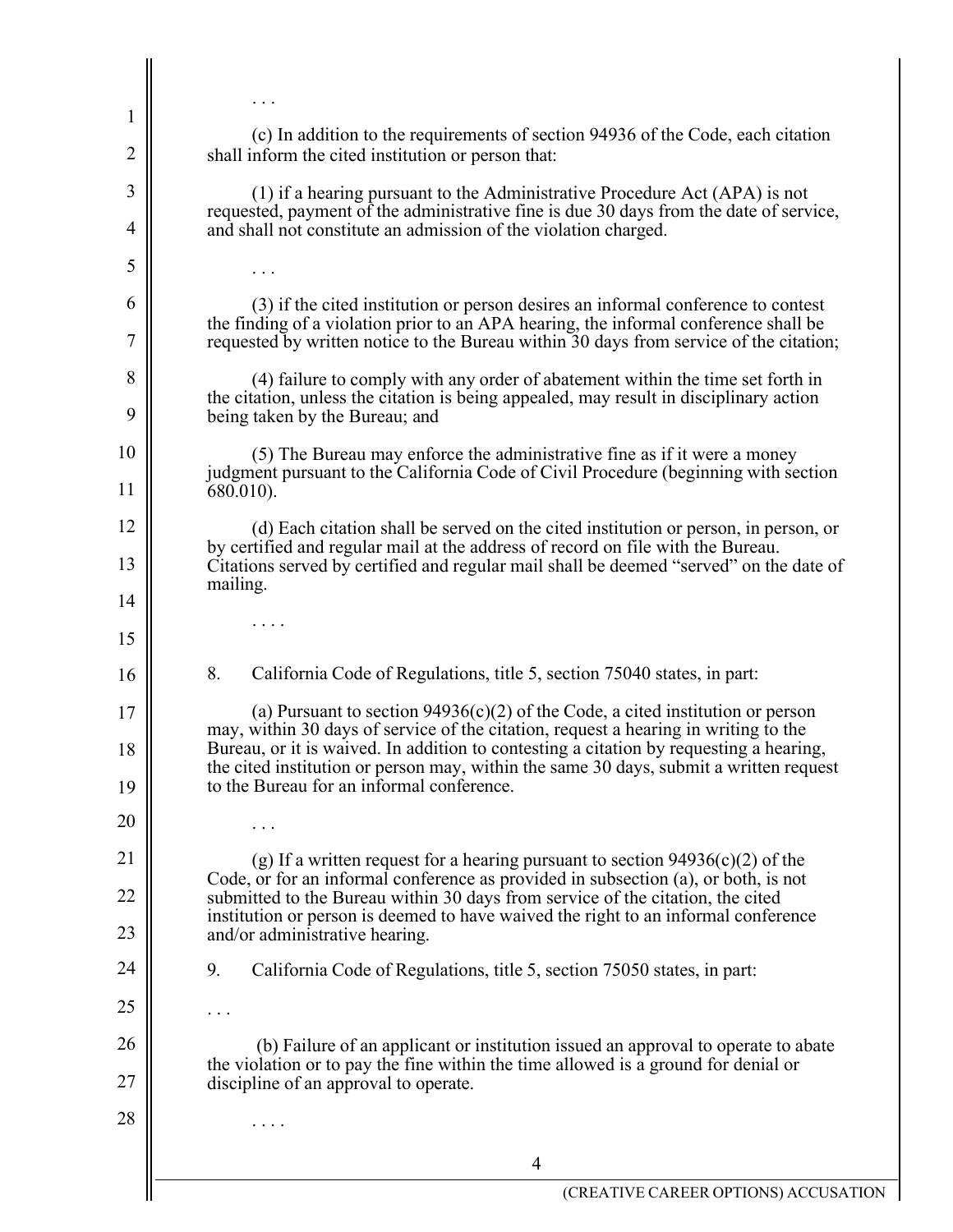| $\mathbf{l}$   |                                                                                                                                                                                                                                                                                                                      |  |
|----------------|----------------------------------------------------------------------------------------------------------------------------------------------------------------------------------------------------------------------------------------------------------------------------------------------------------------------|--|
| $\overline{2}$ | (c) In addition to the requirements of section 94936 of the Code, each citation<br>shall inform the cited institution or person that:                                                                                                                                                                                |  |
| 3              | (1) if a hearing pursuant to the Administrative Procedure Act (APA) is not                                                                                                                                                                                                                                           |  |
| 4              | requested, payment of the administrative fine is due 30 days from the date of service,<br>and shall not constitute an admission of the violation charged.                                                                                                                                                            |  |
| 5              |                                                                                                                                                                                                                                                                                                                      |  |
| 6<br>7         | (3) if the cited institution or person desires an informal conference to contest<br>the finding of a violation prior to an APA hearing, the informal conference shall be<br>requested by written notice to the Bureau within 30 days from service of the citation;                                                   |  |
| 8              | (4) failure to comply with any order of abatement within the time set forth in                                                                                                                                                                                                                                       |  |
| 9              | the citation, unless the citation is being appealed, may result in disciplinary action<br>being taken by the Bureau; and                                                                                                                                                                                             |  |
| 10             | (5) The Bureau may enforce the administrative fine as if it were a money                                                                                                                                                                                                                                             |  |
| 11             | judgment pursuant to the California Code of Civil Procedure (beginning with section<br>680.010).                                                                                                                                                                                                                     |  |
| 12             | (d) Each citation shall be served on the cited institution or person, in person, or                                                                                                                                                                                                                                  |  |
| 13             | by certified and regular mail at the address of record on file with the Bureau.<br>Citations served by certified and regular mail shall be deemed "served" on the date of<br>mailing.                                                                                                                                |  |
| 14             |                                                                                                                                                                                                                                                                                                                      |  |
| 15             |                                                                                                                                                                                                                                                                                                                      |  |
| 16             | 8.<br>California Code of Regulations, title 5, section 75040 states, in part:                                                                                                                                                                                                                                        |  |
| 17             | (a) Pursuant to section $94936(c)(2)$ of the Code, a cited institution or person                                                                                                                                                                                                                                     |  |
| 18<br>19       | may, within 30 days of service of the citation, request a hearing in writing to the<br>Bureau, or it is waived. In addition to contesting a citation by requesting a hearing,<br>the cited institution or person may, within the same 30 days, submit a written request<br>to the Bureau for an informal conference. |  |
| 20             |                                                                                                                                                                                                                                                                                                                      |  |
| 21             | (g) If a written request for a hearing pursuant to section $94936(c)(2)$ of the                                                                                                                                                                                                                                      |  |
| 22             | Code, or for an informal conference as provided in subsection (a), or both, is not<br>submitted to the Bureau within 30 days from service of the citation, the cited                                                                                                                                                 |  |
| 23             | institution or person is deemed to have waived the right to an informal conference<br>and/or administrative hearing.                                                                                                                                                                                                 |  |
| 24             | 9.<br>California Code of Regulations, title 5, section 75050 states, in part:                                                                                                                                                                                                                                        |  |
| 25             |                                                                                                                                                                                                                                                                                                                      |  |
| 26             | (b) Failure of an applicant or institution issued an approval to operate to abate<br>the violation or to pay the fine within the time allowed is a ground for denial or                                                                                                                                              |  |
| 27             | discipline of an approval to operate.                                                                                                                                                                                                                                                                                |  |
| 28             |                                                                                                                                                                                                                                                                                                                      |  |
|                | $\overline{4}$                                                                                                                                                                                                                                                                                                       |  |
|                | (CREATIVE CAREER OPTIONS) ACCUSAT                                                                                                                                                                                                                                                                                    |  |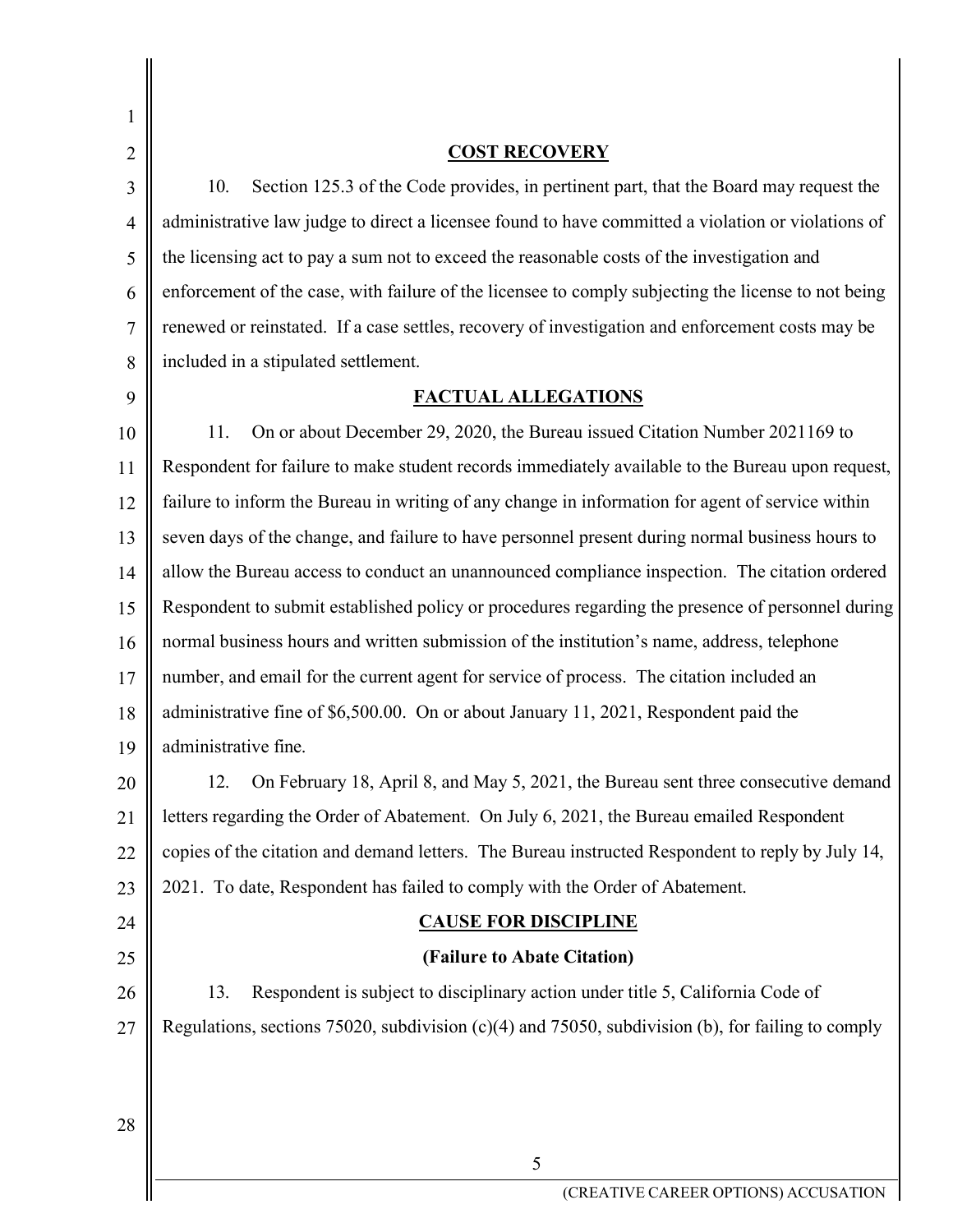| 1              |                                                                                                     |
|----------------|-----------------------------------------------------------------------------------------------------|
| $\overline{2}$ | <b>COST RECOVERY</b>                                                                                |
| 3              | Section 125.3 of the Code provides, in pertinent part, that the Board may request the<br>10.        |
| $\overline{4}$ | administrative law judge to direct a licensee found to have committed a violation or violations of  |
| 5              | the licensing act to pay a sum not to exceed the reasonable costs of the investigation and          |
| 6              | enforcement of the case, with failure of the licensee to comply subjecting the license to not being |
| 7              | renewed or reinstated. If a case settles, recovery of investigation and enforcement costs may be    |
| 8              | included in a stipulated settlement.                                                                |
| 9              | <b>FACTUAL ALLEGATIONS</b>                                                                          |
| 10             | On or about December 29, 2020, the Bureau issued Citation Number 2021169 to<br>11.                  |
| 11             | Respondent for failure to make student records immediately available to the Bureau upon request,    |
| 12             | failure to inform the Bureau in writing of any change in information for agent of service within    |
| 13             | seven days of the change, and failure to have personnel present during normal business hours to     |
| 14             | allow the Bureau access to conduct an unannounced compliance inspection. The citation ordered       |
| 15             | Respondent to submit established policy or procedures regarding the presence of personnel during    |
| 16             | normal business hours and written submission of the institution's name, address, telephone          |
| 17             | number, and email for the current agent for service of process. The citation included an            |
| 18             | administrative fine of \$6,500.00. On or about January 11, 2021, Respondent paid the                |
| 19             | administrative fine.                                                                                |
| 20             | 12.<br>On February 18, April 8, and May 5, 2021, the Bureau sent three consecutive demand           |
| 21             | letters regarding the Order of Abatement. On July 6, 2021, the Bureau emailed Respondent            |
| 22             | copies of the citation and demand letters. The Bureau instructed Respondent to reply by July 14,    |
| 23             | 2021. To date, Respondent has failed to comply with the Order of Abatement.                         |
| 24             | <b>CAUSE FOR DISCIPLINE</b>                                                                         |
| 25             | (Failure to Abate Citation)                                                                         |
| 26             | Respondent is subject to disciplinary action under title 5, California Code of<br>13.               |
| 27             | Regulations, sections 75020, subdivision $(c)(4)$ and 75050, subdivision (b), for failing to comply |
|                |                                                                                                     |
|                |                                                                                                     |
| 28             |                                                                                                     |

5